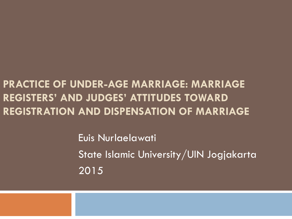### **PRACTICE OF UNDER-AGE MARRIAGE: MARRIAGE REGISTERS' AND JUDGES' ATTITUDES TOWARD REGISTRATION AND DISPENSATION OF MARRIAGE**

Euis Nurlaelawati State Islamic University/UIN Jogjakarta 2015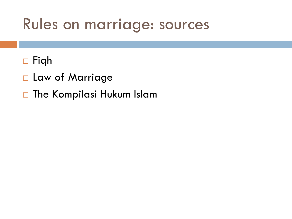### Rules on marriage: sources

### Fiqh

- Law of Marriage
- □ The Kompilasi Hukum Islam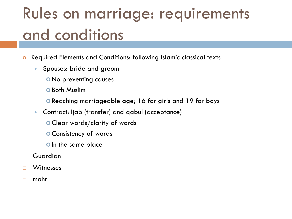# Rules on marriage: requirements and conditions

- Required Elements and Conditions: following Islamic classical texts
	- Spouses: bride and groom
		- No preventing causes
		- **O** Both Muslim
		- Reaching marriageable age; 16 for girls and 19 for boys
	- Contract: Ijab (transfer) and qabul (acceptance)
		- Clear words/clarity of words
		- Consistency of words
		- o In the same place
- Guardian
- □ Witnesses
- $\Box$  mahr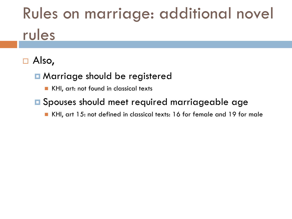# Rules on marriage: additional novel rules

### Also,

#### **n** Marriage should be registered

- KHI, art: not found in classical texts
- **E** Spouses should meet required marriageable age
	- KHI, art 15: not defined in classical texts: 16 for female and 19 for male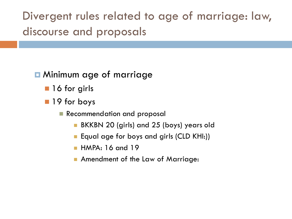Divergent rules related to age of marriage: law, discourse and proposals

#### $\blacksquare$  Minimum age of marriage

- **16 for girls**
- **19** for boys
	- Recommendation and proposal
		- BKKBN 20 (girls) and 25 (boys) years old
		- Equal age for boys and girls (CLD KHI:))
		- HMPA: 16 and 19
		- **Amendment of the Law of Marriage:**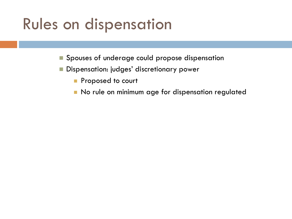## Rules on dispensation

- Spouses of underage could propose dispensation
- **Dispensation: judges' discretionary power** 
	- **Proposed to court**
	- No rule on minimum age for dispensation regulated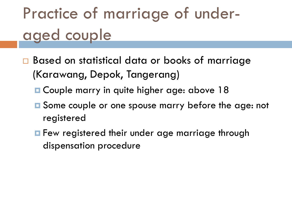# Practice of marriage of underaged couple

- □ Based on statistical data or books of marriage (Karawang, Depok, Tangerang)
	- **□ Couple marry in quite higher age: above 18**
	- Some couple or one spouse marry before the age: not registered
	- **F** Few registered their under age marriage through dispensation procedure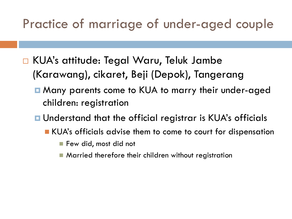### Practice of marriage of under-aged couple

- KUA's attitude: Tegal Waru, Teluk Jambe (Karawang), cikaret, Beji (Depok), Tangerang
	- Many parents come to KUA to marry their under-aged children: registration
	- Understand that the official registrar is KUA's officials
		- **KUA's officials advise them to come to court for dispensation** 
			- Few did, most did not
			- Married therefore their children without registration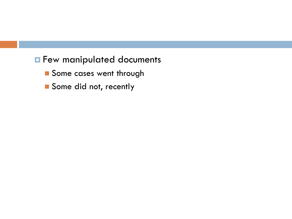#### **Few manipulated documents**

- Some cases went through
- Some did not, recently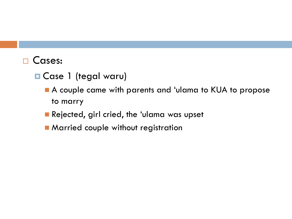#### □ Cases:

- **O** Case 1 (tegal waru)
	- A couple came with parents and 'ulama to KUA to propose to marry
	- Rejected, girl cried, the 'ulama was upset
	- **Married couple without registration**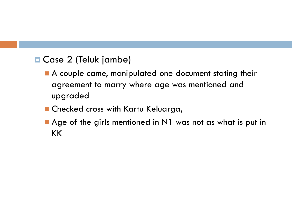#### ■ Case 2 (Teluk jambe)

- A couple came, manipulated one document stating their agreement to marry where age was mentioned and upgraded
- Checked cross with Kartu Keluarga,
- Age of the girls mentioned in N1 was not as what is put in KK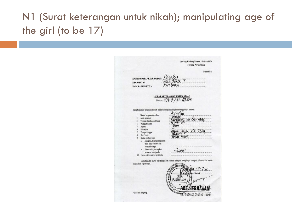### N1 (Surat keterangan untuk nikah); manipulating age of the girl (to be 17)

Undang-Undang Nomor 1 Tahun 1974 **Tentang Perkawinan** Model N-1 Tuscur KANTOR DESA / KELURAHAN **KECAMATAN Wavenus KABUPATEN/KOTA** SURAT KETERANGAN UNTUK NIKAH Nomor: 474 2/30 108 2011 Yang bertanda tangan di bawah ini menerangkan dengan sesungguhnya bahwa: knistin 1. Nama lengkap dan alias Jenis kelamin  $2.$  $00 - 00 - 1994$ Tempat dan tanggal lahir Warga Negara  $5.$ Agama Pekerjaan yum Jaya. RT. 0569 **Tempat tinggal** Bin / binti elian Aguni Status perkawinan a. Jika pria, terangkan jejaka, duda atau beristri dan berapa istrinya b. Jika wanita, terangkan  $6945$ perawan atau janda 10. Nama istri / suami terdahulu Demikianlah, surat keterangan ini dibuat dengan mengingat sumpah jabatan dan untuk digunakan seperlunya.  $\mathbf{u}_{41}$ ,  $1 - 7$ ,  $\mathbf{u}_{4}$ /Lural DESA **PUSEURJAYA** ADE4 \*) nama lengkap 196400003009011002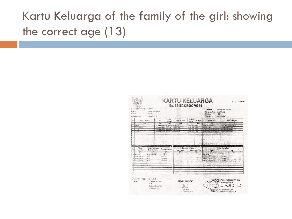### Kartu Keluarga of the family of the girl: showing the correct age (13)

| No.                                                                  | Nama Lengkap                            |                                       | Nik                                  | Jenis<br>Kelamb                     | Tempat Lahir                | Tanggal<br>Lahlr         | Agama                | Pendidikan                                                 | Jenis Pekerjaan                        |
|----------------------------------------------------------------------|-----------------------------------------|---------------------------------------|--------------------------------------|-------------------------------------|-----------------------------|--------------------------|----------------------|------------------------------------------------------------|----------------------------------------|
|                                                                      | 111                                     |                                       | (2)                                  | (3)                                 | (4)                         | $+51$                    | 2661                 | (7)                                                        | 78                                     |
|                                                                      | 1 SAPNING                               |                                       | 3215034505700002                     | PEREMPLI                            | <b>KARAWANG</b>             | 05:05-1970               | SEAM!                | AMAT SDISEDERALAT                                          | <b>MENGURUS RUMAH TANGGA</b>           |
| $\mathfrak{D}$                                                       | RIKI LECNARDO<br><b>KRISTIN</b>         |                                       | 3215031199940003<br>1215034905900998 | LAKLI AK<br>PERENPU                 | <b>KARAWANG</b><br>KARAWANG | 11-05-1994<br>09-05-1995 | ISLAM<br><b>SLAM</b> | <b>SI TRISTOFRAJAT</b><br><b>BELLM TAIZAT SO/SEDERAJAT</b> | PELA ARIMAHASISWA<br>PECA ARGANIASISWA |
| $\mathbf{3}$<br>$\Delta$                                             | <b>KLSNASH</b>                          |                                       | 3215035305020006                     | PEREMPLY                            | <b>KARAWANG</b>             | 13.06.2002               | <b>SLAM</b>          | <b>RETURN TAMAT SO SERFEA AT</b>                           | <b>PELA JAR/MAHASISMA</b>              |
| $\mathbf{G}$                                                         |                                         |                                       | $\overline{\phantom{a}}$             |                                     |                             |                          |                      |                                                            |                                        |
| $\ddot{\text{s}}$                                                    |                                         |                                       |                                      |                                     |                             |                          |                      |                                                            |                                        |
| $\mathcal{I}$                                                        |                                         |                                       |                                      |                                     |                             |                          |                      |                                                            |                                        |
| s                                                                    |                                         |                                       | ÷                                    |                                     |                             |                          |                      |                                                            |                                        |
| $\rm ^{9}$                                                           |                                         |                                       |                                      |                                     |                             |                          |                      |                                                            |                                        |
| tù.                                                                  |                                         |                                       |                                      |                                     |                             |                          |                      |                                                            |                                        |
|                                                                      | <b>Status Hubungan</b><br><b>Status</b> |                                       |                                      | Dokumen Imigrasi<br>Kewarganegaraan |                             |                          | Nama Orang Tua       |                                                            |                                        |
|                                                                      |                                         |                                       |                                      |                                     |                             |                          |                      |                                                            | lbu                                    |
|                                                                      | Perkawinan                              | Dalam Keluarga                        |                                      |                                     | No. Paspor                  | No. KITAS/KITAP          |                      | Avah                                                       |                                        |
|                                                                      | $\overline{\mathfrak{g}}$               | (10)                                  |                                      | 7311                                | (12)                        |                          | $-13$                | (14)                                                       | (15)                                   |
|                                                                      | <b>CERALMATI</b>                        | <b>KEPALA KELUARGA</b><br><b>ANAK</b> | <b>NOONESIA</b><br><b>NDONESIA</b>   |                                     |                             |                          |                      | <b>FDOKASD</b>                                             | FH                                     |
|                                                                      | <b>BELLIM KAWIN</b><br>BELLIM KAWIN     | <b>ANAK</b>                           | <b>INDONESIA</b>                     |                                     |                             |                          |                      | <b>BINSAR SIMATUPANG</b><br><b>BINSAR SIMATUPANO</b>       | <b>SAPINGE</b><br>SAPNAH               |
|                                                                      | 4 BELUM KAWN                            | <b>ANAK</b>                           | <b>INDONESIA</b>                     |                                     |                             |                          |                      | <b>BIRSAR SIVATUPANG</b>                                   | <b>SAPNAH</b>                          |
|                                                                      |                                         |                                       |                                      |                                     |                             |                          |                      |                                                            |                                        |
|                                                                      |                                         |                                       |                                      |                                     |                             |                          |                      |                                                            |                                        |
| X                                                                    |                                         |                                       |                                      |                                     |                             |                          |                      |                                                            |                                        |
| No.<br>×<br>$\overline{a}$<br>s.<br>$\overline{5}$<br>$\delta$<br>s. |                                         |                                       |                                      |                                     |                             |                          |                      |                                                            |                                        |
| ü<br>10                                                              |                                         |                                       |                                      |                                     |                             |                          |                      |                                                            |                                        |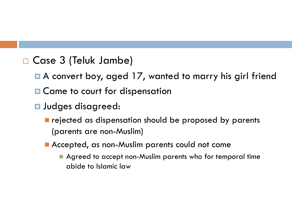#### Case 3 (Teluk Jambe)

- A convert boy, aged 17, wanted to marry his girl friend
- **□ Came to court for dispensation**
- **<u></u>**Judges disagreed:
	- **rejected as dispensation should be proposed by parents** (parents are non-Muslim)
	- **Accepted, as non-Muslim parents could not come** 
		- **Agreed to accept non-Muslim parents who for temporal time** abide to Islamic law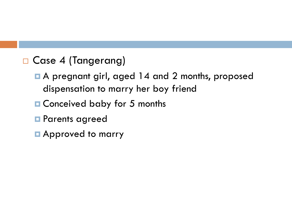#### □ Case 4 (Tangerang)

- A pregnant girl, aged 14 and 2 months, proposed dispensation to marry her boy friend
- Conceived baby for 5 months
- **Parents agreed**
- **Approved to marry**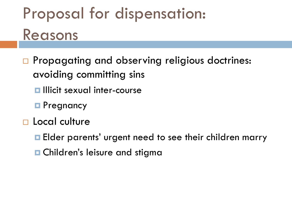# Proposal for dispensation: Reasons

- □ Propagating and observing religious doctrines: avoiding committing sins
	- $\blacksquare$  Illicit sexual inter-course
	- **Pregnancy**
- □ Local culture
	- **Elder parents' urgent need to see their children marry**
	- **□ Children's leisure and stigma**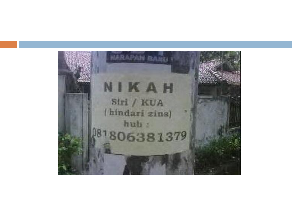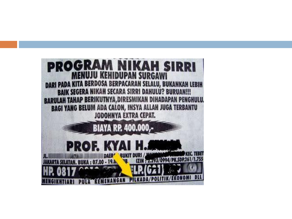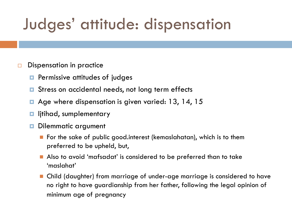# Judges' attitude: dispensation

#### $\Box$  Dispensation in practice

- $\blacksquare$  Permissive attitudes of judges
- **□** Stress on accidental needs, not long term effects
- Age where dispensation is given varied: 13, 14, 15
- $\blacksquare$  litihad, sumplementary
- Dilemmatic argument
	- **F** For the sake of public good.interest (kemaslahatan), which is to them preferred to be upheld, but,
	- Also to avoid 'mafsadat' is considered to be preferred than to take 'maslahat'
	- Child (daughter) from marriage of under-age marriage is considered to have no right to have guardianship from her father, following the legal opinion of minimum age of pregnancy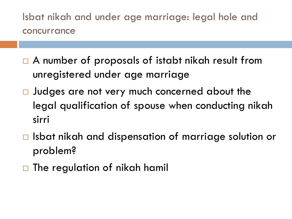Isbat nikah and under age marriage: legal hole and concurrance

- □ A number of proposals of istabt nikah result from unregistered under age marriage
- □ Judges are not very much concerned about the legal qualification of spouse when conducting nikah sirri
- $\Box$  Isbat nikah and dispensation of marriage solution or problem?
- $\Box$  The regulation of nikah hamil